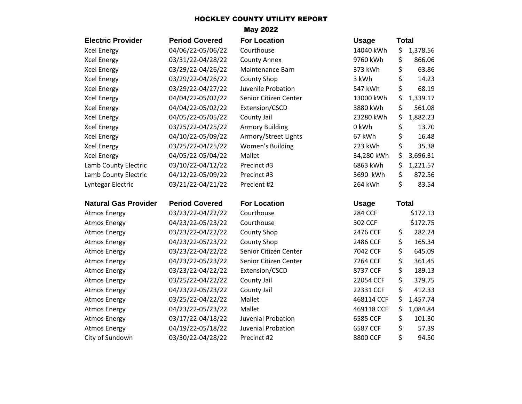## HOCKLEY COUNTY UTILITY REPORT

## May 2022

| <b>Electric Provider</b>    | <b>Period Covered</b> | <b>For Location</b>    | <b>Usage</b>   | <b>Total</b> |          |
|-----------------------------|-----------------------|------------------------|----------------|--------------|----------|
| <b>Xcel Energy</b>          | 04/06/22-05/06/22     | Courthouse             | 14040 kWh      | \$           | 1,378.56 |
| <b>Xcel Energy</b>          | 03/31/22-04/28/22     | <b>County Annex</b>    | 9760 kWh       | \$           | 866.06   |
| <b>Xcel Energy</b>          | 03/29/22-04/26/22     | Maintenance Barn       | 373 kWh        | \$           | 63.86    |
| <b>Xcel Energy</b>          | 03/29/22-04/26/22     | <b>County Shop</b>     | 3 kWh          | \$           | 14.23    |
| <b>Xcel Energy</b>          | 03/29/22-04/27/22     | Juvenile Probation     | 547 kWh        | \$           | 68.19    |
| <b>Xcel Energy</b>          | 04/04/22-05/02/22     | Senior Citizen Center  | 13000 kWh      | \$           | 1,339.17 |
| <b>Xcel Energy</b>          | 04/04/22-05/02/22     | Extension/CSCD         | 3880 kWh       | \$           | 561.08   |
| <b>Xcel Energy</b>          | 04/05/22-05/05/22     | County Jail            | 23280 kWh      | \$           | 1,882.23 |
| <b>Xcel Energy</b>          | 03/25/22-04/25/22     | <b>Armory Building</b> | 0 kWh          | \$           | 13.70    |
| <b>Xcel Energy</b>          | 04/10/22-05/09/22     | Armory/Street Lights   | 67 kWh         | \$           | 16.48    |
| <b>Xcel Energy</b>          | 03/25/22-04/25/22     | Women's Building       | 223 kWh        | \$           | 35.38    |
| <b>Xcel Energy</b>          | 04/05/22-05/04/22     | Mallet                 | 34,280 kWh     | \$           | 3,696.31 |
| Lamb County Electric        | 03/10/22-04/12/22     | Precinct #3            | 6863 kWh       | \$           | 1,221.57 |
| Lamb County Electric        | 04/12/22-05/09/22     | Precinct #3            | 3690 kWh       | \$           | 872.56   |
| Lyntegar Electric           | 03/21/22-04/21/22     | Precient #2            | 264 kWh        | \$           | 83.54    |
| <b>Natural Gas Provider</b> | <b>Period Covered</b> | <b>For Location</b>    | <b>Usage</b>   | <b>Total</b> |          |
| <b>Atmos Energy</b>         | 03/23/22-04/22/22     | Courthouse             | <b>284 CCF</b> |              | \$172.13 |
| <b>Atmos Energy</b>         | 04/23/22-05/23/22     | Courthouse             | 302 CCF        |              | \$172.75 |
| <b>Atmos Energy</b>         | 03/23/22-04/22/22     | <b>County Shop</b>     | 2476 CCF       | \$           | 282.24   |
| <b>Atmos Energy</b>         | 04/23/22-05/23/22     | <b>County Shop</b>     | 2486 CCF       | \$           | 165.34   |
| <b>Atmos Energy</b>         | 03/23/22-04/22/22     | Senior Citizen Center  | 7042 CCF       | \$           | 645.09   |
| <b>Atmos Energy</b>         | 04/23/22-05/23/22     | Senior Citizen Center  | 7264 CCF       | \$           | 361.45   |
| <b>Atmos Energy</b>         | 03/23/22-04/22/22     | Extension/CSCD         | 8737 CCF       | \$           | 189.13   |
| <b>Atmos Energy</b>         | 03/25/22-04/22/22     | County Jail            | 22054 CCF      | \$           | 379.75   |
| <b>Atmos Energy</b>         | 04/23/22-05/23/22     | County Jail            | 22331 CCF      | \$           | 412.33   |
| <b>Atmos Energy</b>         | 03/25/22-04/22/22     | Mallet                 | 468114 CCF     | \$           | 1,457.74 |
| <b>Atmos Energy</b>         | 04/23/22-05/23/22     | Mallet                 | 469118 CCF     | \$           | 1,084.84 |
| <b>Atmos Energy</b>         | 03/17/22-04/18/22     | Juvenial Probation     | 6585 CCF       | \$           | 101.30   |
| <b>Atmos Energy</b>         | 04/19/22-05/18/22     | Juvenial Probation     | 6587 CCF       | \$           | 57.39    |
| City of Sundown             | 03/30/22-04/28/22     | Precinct #2            | 8800 CCF       | \$           | 94.50    |